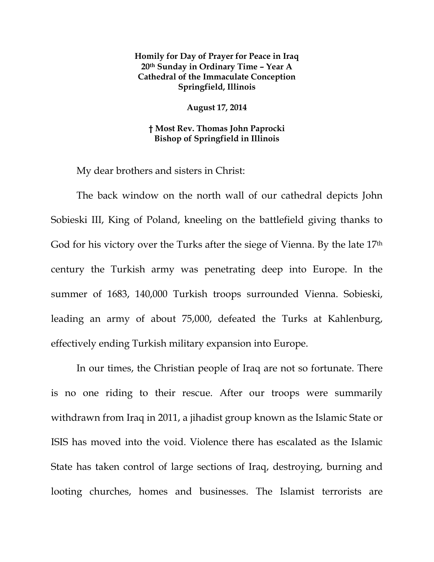## **Homily for Day of Prayer for Peace in Iraq 20th Sunday in Ordinary Time – Year A Cathedral of the Immaculate Conception Springfield, Illinois**

**August 17, 2014** 

**† Most Rev. Thomas John Paprocki Bishop of Springfield in Illinois** 

My dear brothers and sisters in Christ:

The back window on the north wall of our cathedral depicts John Sobieski III, King of Poland, kneeling on the battlefield giving thanks to God for his victory over the Turks after the siege of Vienna. By the late 17<sup>th</sup> century the Turkish army was penetrating deep into Europe. In the summer of 1683, 140,000 Turkish troops surrounded Vienna. Sobieski, leading an army of about 75,000, defeated the Turks at Kahlenburg, effectively ending Turkish military expansion into Europe.

In our times, the Christian people of Iraq are not so fortunate. There is no one riding to their rescue. After our troops were summarily withdrawn from Iraq in 2011, a jihadist group known as the Islamic State or ISIS has moved into the void. Violence there has escalated as the Islamic State has taken control of large sections of Iraq, destroying, burning and looting churches, homes and businesses. The Islamist terrorists are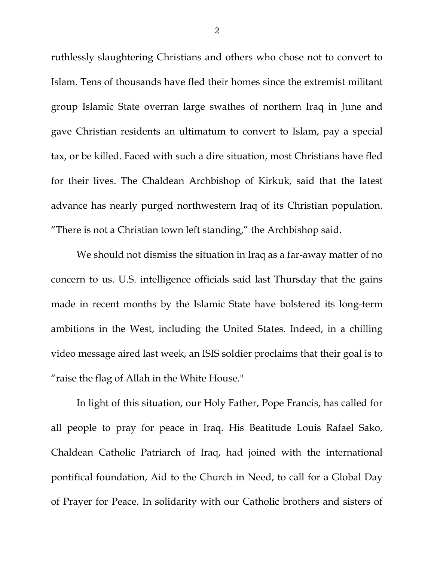ruthlessly slaughtering Christians and others who chose not to convert to Islam. Tens of thousands have fled their homes since the extremist militant group Islamic State overran large swathes of northern Iraq in June and gave Christian residents an ultimatum to convert to Islam, pay a special tax, or be killed. Faced with such a dire situation, most Christians have fled for their lives. The Chaldean Archbishop of Kirkuk, said that the latest advance has nearly purged northwestern Iraq of its Christian population. "There is not a Christian town left standing," the Archbishop said.

We should not dismiss the situation in Iraq as a far-away matter of no concern to us. U.S. intelligence officials said last Thursday that the gains made in recent months by the Islamic State have bolstered its long-term ambitions in the West, including the United States. Indeed, in a chilling video message aired last week, an ISIS soldier proclaims that their goal is to "raise the flag of Allah in the White House."

In light of this situation, our Holy Father, Pope Francis, has called for all people to pray for peace in Iraq. His Beatitude Louis Rafael Sako, Chaldean Catholic Patriarch of Iraq, had joined with the international pontifical foundation, Aid to the Church in Need, to call for a Global Day of Prayer for Peace. In solidarity with our Catholic brothers and sisters of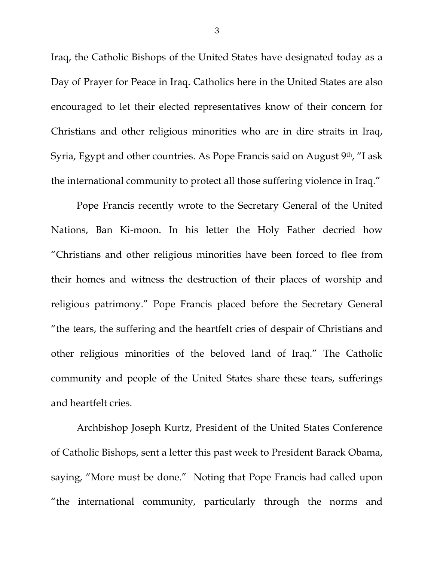Iraq, the Catholic Bishops of the United States have designated today as a Day of Prayer for Peace in Iraq. Catholics here in the United States are also encouraged to let their elected representatives know of their concern for Christians and other religious minorities who are in dire straits in Iraq, Syria, Egypt and other countries. As Pope Francis said on August 9<sup>th</sup>, "I ask the international community to protect all those suffering violence in Iraq."

Pope Francis recently wrote to the Secretary General of the United Nations, Ban Ki-moon. In his letter the Holy Father decried how "Christians and other religious minorities have been forced to flee from their homes and witness the destruction of their places of worship and religious patrimony." Pope Francis placed before the Secretary General "the tears, the suffering and the heartfelt cries of despair of Christians and other religious minorities of the beloved land of Iraq." The Catholic community and people of the United States share these tears, sufferings and heartfelt cries.

Archbishop Joseph Kurtz, President of the United States Conference of Catholic Bishops, sent a letter this past week to President Barack Obama, saying, "More must be done." Noting that Pope Francis had called upon "the international community, particularly through the norms and

3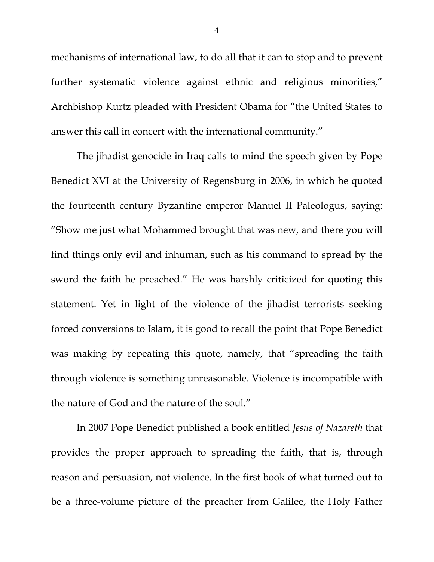mechanisms of international law, to do all that it can to stop and to prevent further systematic violence against ethnic and religious minorities," Archbishop Kurtz pleaded with President Obama for "the United States to answer this call in concert with the international community."

The jihadist genocide in Iraq calls to mind the speech given by Pope Benedict XVI at the University of Regensburg in 2006, in which he quoted the fourteenth century Byzantine emperor Manuel II Paleologus, saying: "Show me just what Mohammed brought that was new, and there you will find things only evil and inhuman, such as his command to spread by the sword the faith he preached." He was harshly criticized for quoting this statement. Yet in light of the violence of the jihadist terrorists seeking forced conversions to Islam, it is good to recall the point that Pope Benedict was making by repeating this quote, namely, that "spreading the faith through violence is something unreasonable. Violence is incompatible with the nature of God and the nature of the soul."

In 2007 Pope Benedict published a book entitled *Jesus of Nazareth* that provides the proper approach to spreading the faith, that is, through reason and persuasion, not violence. In the first book of what turned out to be a three-volume picture of the preacher from Galilee, the Holy Father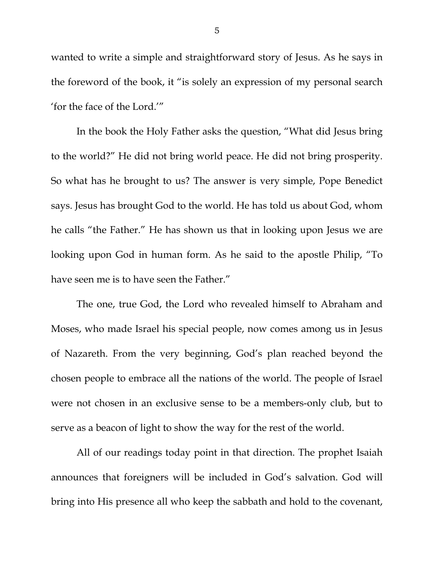wanted to write a simple and straightforward story of Jesus. As he says in the foreword of the book, it "is solely an expression of my personal search 'for the face of the Lord.'"

In the book the Holy Father asks the question, "What did Jesus bring to the world?" He did not bring world peace. He did not bring prosperity. So what has he brought to us? The answer is very simple, Pope Benedict says. Jesus has brought God to the world. He has told us about God, whom he calls "the Father." He has shown us that in looking upon Jesus we are looking upon God in human form. As he said to the apostle Philip, "To have seen me is to have seen the Father."

The one, true God, the Lord who revealed himself to Abraham and Moses, who made Israel his special people, now comes among us in Jesus of Nazareth. From the very beginning, God's plan reached beyond the chosen people to embrace all the nations of the world. The people of Israel were not chosen in an exclusive sense to be a members-only club, but to serve as a beacon of light to show the way for the rest of the world.

All of our readings today point in that direction. The prophet Isaiah announces that foreigners will be included in God's salvation. God will bring into His presence all who keep the sabbath and hold to the covenant,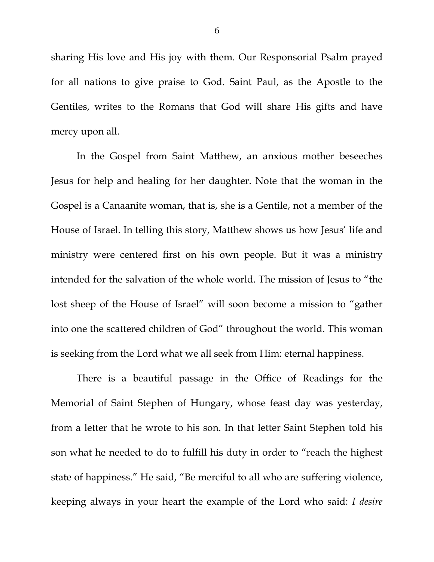sharing His love and His joy with them. Our Responsorial Psalm prayed for all nations to give praise to God. Saint Paul, as the Apostle to the Gentiles, writes to the Romans that God will share His gifts and have mercy upon all.

In the Gospel from Saint Matthew, an anxious mother beseeches Jesus for help and healing for her daughter. Note that the woman in the Gospel is a Canaanite woman, that is, she is a Gentile, not a member of the House of Israel. In telling this story, Matthew shows us how Jesus' life and ministry were centered first on his own people. But it was a ministry intended for the salvation of the whole world. The mission of Jesus to "the lost sheep of the House of Israel" will soon become a mission to "gather into one the scattered children of God" throughout the world. This woman is seeking from the Lord what we all seek from Him: eternal happiness.

 There is a beautiful passage in the Office of Readings for the Memorial of Saint Stephen of Hungary, whose feast day was yesterday, from a letter that he wrote to his son. In that letter Saint Stephen told his son what he needed to do to fulfill his duty in order to "reach the highest state of happiness." He said, "Be merciful to all who are suffering violence, keeping always in your heart the example of the Lord who said: *I desire*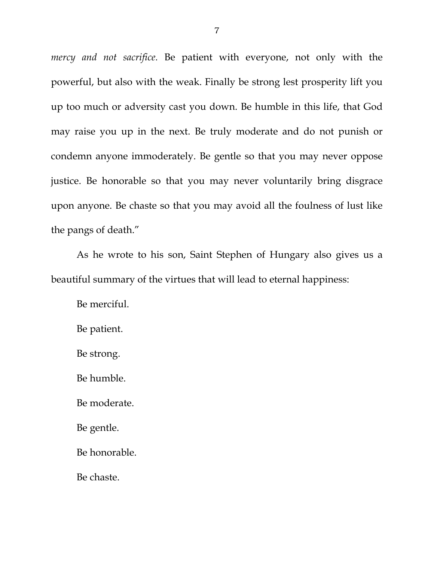*mercy and not sacrifice.* Be patient with everyone, not only with the powerful, but also with the weak. Finally be strong lest prosperity lift you up too much or adversity cast you down. Be humble in this life, that God may raise you up in the next. Be truly moderate and do not punish or condemn anyone immoderately. Be gentle so that you may never oppose justice. Be honorable so that you may never voluntarily bring disgrace upon anyone. Be chaste so that you may avoid all the foulness of lust like the pangs of death."

As he wrote to his son, Saint Stephen of Hungary also gives us a beautiful summary of the virtues that will lead to eternal happiness:

Be merciful.

Be patient.

Be strong.

Be humble.

Be moderate.

Be gentle.

Be honorable.

Be chaste.